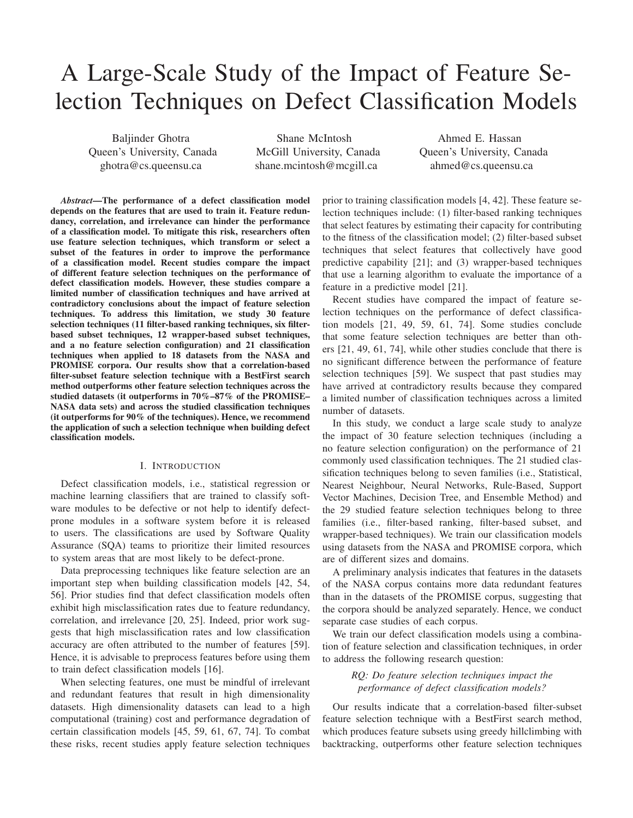# A Large-Scale Study of the Impact of Feature Selection Techniques on Defect Classification Models

Baljinder Ghotra Queen's University, Canada ghotra@cs.queensu.ca

Shane McIntosh McGill University, Canada shane.mcintosh@mcgill.ca

Ahmed E. Hassan Queen's University, Canada ahmed@cs.queensu.ca

*Abstract*—The performance of a defect classification model depends on the features that are used to train it. Feature redundancy, correlation, and irrelevance can hinder the performance of a classification model. To mitigate this risk, researchers often use feature selection techniques, which transform or select a subset of the features in order to improve the performance of a classification model. Recent studies compare the impact of different feature selection techniques on the performance of defect classification models. However, these studies compare a limited number of classification techniques and have arrived at contradictory conclusions about the impact of feature selection techniques. To address this limitation, we study 30 feature selection techniques (11 filter-based ranking techniques, six filterbased subset techniques, 12 wrapper-based subset techniques, and a no feature selection configuration) and 21 classification techniques when applied to 18 datasets from the NASA and PROMISE corpora. Our results show that a correlation-based filter-subset feature selection technique with a BestFirst search method outperforms other feature selection techniques across the studied datasets (it outperforms in 70%–87% of the PROMISE– NASA data sets) and across the studied classification techniques (it outperforms for 90% of the techniques). Hence, we recommend the application of such a selection technique when building defect classification models.

#### I. INTRODUCTION

Defect classification models, i.e., statistical regression or machine learning classifiers that are trained to classify software modules to be defective or not help to identify defectprone modules in a software system before it is released to users. The classifications are used by Software Quality Assurance (SQA) teams to prioritize their limited resources to system areas that are most likely to be defect-prone.

Data preprocessing techniques like feature selection are an important step when building classification models [42, 54, 56]. Prior studies find that defect classification models often exhibit high misclassification rates due to feature redundancy, correlation, and irrelevance [20, 25]. Indeed, prior work suggests that high misclassification rates and low classification accuracy are often attributed to the number of features [59]. Hence, it is advisable to preprocess features before using them to train defect classification models [16].

When selecting features, one must be mindful of irrelevant and redundant features that result in high dimensionality datasets. High dimensionality datasets can lead to a high computational (training) cost and performance degradation of certain classification models [45, 59, 61, 67, 74]. To combat these risks, recent studies apply feature selection techniques

prior to training classification models [4, 42]. These feature selection techniques include: (1) filter-based ranking techniques that select features by estimating their capacity for contributing to the fitness of the classification model; (2) filter-based subset techniques that select features that collectively have good predictive capability [21]; and (3) wrapper-based techniques that use a learning algorithm to evaluate the importance of a feature in a predictive model [21].

Recent studies have compared the impact of feature selection techniques on the performance of defect classification models [21, 49, 59, 61, 74]. Some studies conclude that some feature selection techniques are better than others [21, 49, 61, 74], while other studies conclude that there is no significant difference between the performance of feature selection techniques [59]. We suspect that past studies may have arrived at contradictory results because they compared a limited number of classification techniques across a limited number of datasets.

In this study, we conduct a large scale study to analyze the impact of 30 feature selection techniques (including a no feature selection configuration) on the performance of 21 commonly used classification techniques. The 21 studied classification techniques belong to seven families (i.e., Statistical, Nearest Neighbour, Neural Networks, Rule-Based, Support Vector Machines, Decision Tree, and Ensemble Method) and the 29 studied feature selection techniques belong to three families (i.e., filter-based ranking, filter-based subset, and wrapper-based techniques). We train our classification models using datasets from the NASA and PROMISE corpora, which are of different sizes and domains.

A preliminary analysis indicates that features in the datasets of the NASA corpus contains more data redundant features than in the datasets of the PROMISE corpus, suggesting that the corpora should be analyzed separately. Hence, we conduct separate case studies of each corpus.

We train our defect classification models using a combination of feature selection and classification techniques, in order to address the following research question:

> *RQ: Do feature selection techniques impact the performance of defect classification models?*

Our results indicate that a correlation-based filter-subset feature selection technique with a BestFirst search method, which produces feature subsets using greedy hillclimbing with backtracking, outperforms other feature selection techniques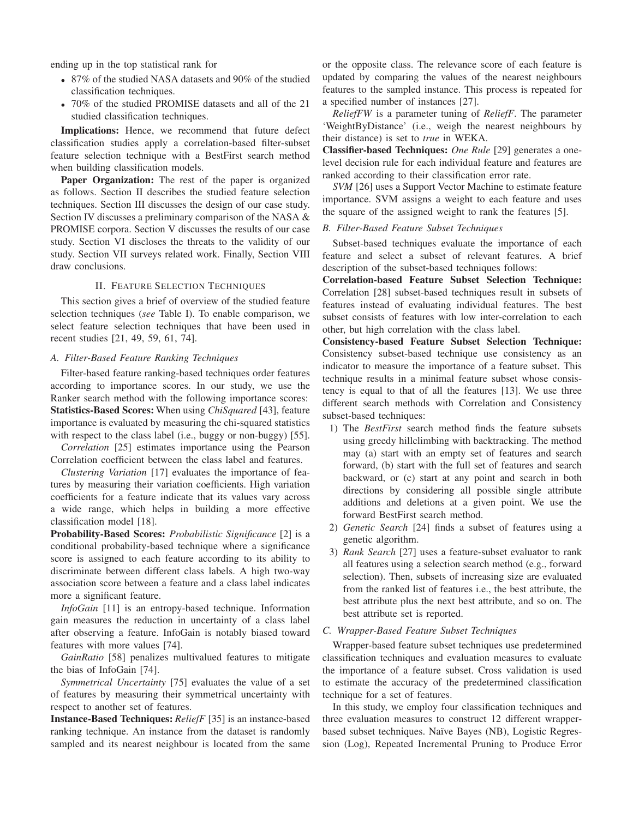ending up in the top statistical rank for

- 87% of the studied NASA datasets and 90% of the studied classification techniques.
- 70% of the studied PROMISE datasets and all of the 21 studied classification techniques.

Implications: Hence, we recommend that future defect classification studies apply a correlation-based filter-subset feature selection technique with a BestFirst search method when building classification models.

Paper Organization: The rest of the paper is organized as follows. Section II describes the studied feature selection techniques. Section III discusses the design of our case study. Section IV discusses a preliminary comparison of the NASA & PROMISE corpora. Section V discusses the results of our case study. Section VI discloses the threats to the validity of our study. Section VII surveys related work. Finally, Section VIII draw conclusions.

#### II. FEATURE SELECTION TECHNIQUES

This section gives a brief of overview of the studied feature selection techniques (*see* Table I). To enable comparison, we select feature selection techniques that have been used in recent studies [21, 49, 59, 61, 74].

# *A. Filter-Based Feature Ranking Techniques*

Filter-based feature ranking-based techniques order features according to importance scores. In our study, we use the Ranker search method with the following importance scores: Statistics-Based Scores: When using *ChiSquared* [43], feature importance is evaluated by measuring the chi-squared statistics with respect to the class label (i.e., buggy or non-buggy) [55].

*Correlation* [25] estimates importance using the Pearson Correlation coefficient between the class label and features.

*Clustering Variation* [17] evaluates the importance of features by measuring their variation coefficients. High variation coefficients for a feature indicate that its values vary across a wide range, which helps in building a more effective classification model [18].

Probability-Based Scores: *Probabilistic Significance* [2] is a conditional probability-based technique where a significance score is assigned to each feature according to its ability to discriminate between different class labels. A high two-way association score between a feature and a class label indicates more a significant feature.

*InfoGain* [11] is an entropy-based technique. Information gain measures the reduction in uncertainty of a class label after observing a feature. InfoGain is notably biased toward features with more values [74].

*GainRatio* [58] penalizes multivalued features to mitigate the bias of InfoGain [74].

*Symmetrical Uncertainty* [75] evaluates the value of a set of features by measuring their symmetrical uncertainty with respect to another set of features.

Instance-Based Techniques: *ReliefF* [35] is an instance-based ranking technique. An instance from the dataset is randomly sampled and its nearest neighbour is located from the same

or the opposite class. The relevance score of each feature is updated by comparing the values of the nearest neighbours features to the sampled instance. This process is repeated for a specified number of instances [27].

*ReliefFW* is a parameter tuning of *ReliefF*. The parameter 'WeightByDistance' (i.e., weigh the nearest neighbours by their distance) is set to *true* in WEKA.

Classifier-based Techniques: *One Rule* [29] generates a onelevel decision rule for each individual feature and features are ranked according to their classification error rate.

*SVM* [26] uses a Support Vector Machine to estimate feature importance. SVM assigns a weight to each feature and uses the square of the assigned weight to rank the features [5].

#### *B. Filter-Based Feature Subset Techniques*

Subset-based techniques evaluate the importance of each feature and select a subset of relevant features. A brief description of the subset-based techniques follows:

Correlation-based Feature Subset Selection Technique: Correlation [28] subset-based techniques result in subsets of features instead of evaluating individual features. The best subset consists of features with low inter-correlation to each other, but high correlation with the class label.

Consistency-based Feature Subset Selection Technique: Consistency subset-based technique use consistency as an indicator to measure the importance of a feature subset. This technique results in a minimal feature subset whose consistency is equal to that of all the features [13]. We use three different search methods with Correlation and Consistency subset-based techniques:

- 1) The *BestFirst* search method finds the feature subsets using greedy hillclimbing with backtracking. The method may (a) start with an empty set of features and search forward, (b) start with the full set of features and search backward, or (c) start at any point and search in both directions by considering all possible single attribute additions and deletions at a given point. We use the forward BestFirst search method.
- 2) *Genetic Search* [24] finds a subset of features using a genetic algorithm.
- 3) *Rank Search* [27] uses a feature-subset evaluator to rank all features using a selection search method (e.g., forward selection). Then, subsets of increasing size are evaluated from the ranked list of features i.e., the best attribute, the best attribute plus the next best attribute, and so on. The best attribute set is reported.

#### *C. Wrapper-Based Feature Subset Techniques*

Wrapper-based feature subset techniques use predetermined classification techniques and evaluation measures to evaluate the importance of a feature subset. Cross validation is used to estimate the accuracy of the predetermined classification technique for a set of features.

In this study, we employ four classification techniques and three evaluation measures to construct 12 different wrapperbased subset techniques. Naïve Bayes (NB), Logistic Regression (Log), Repeated Incremental Pruning to Produce Error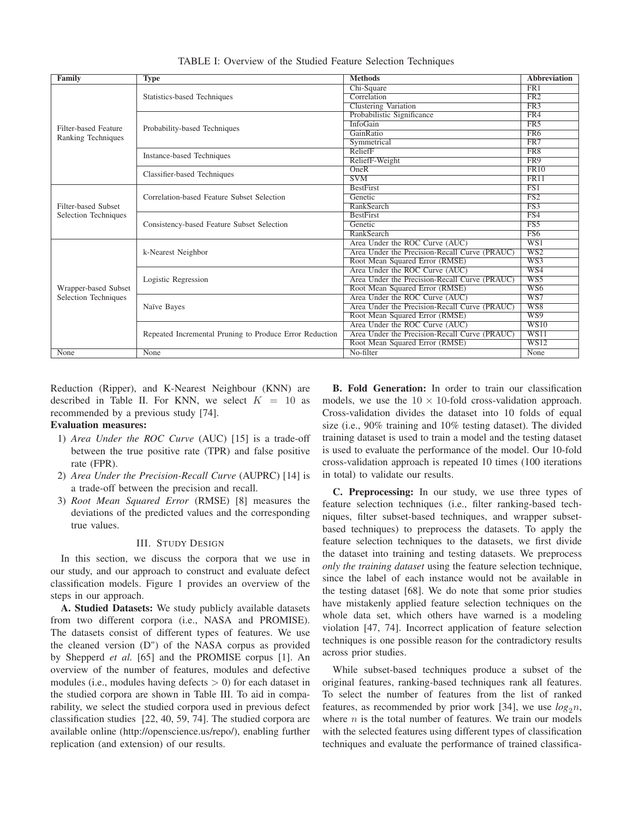| Family                                       | <b>Type</b>                                             | <b>Methods</b>                                | <b>Abbreviation</b>     |
|----------------------------------------------|---------------------------------------------------------|-----------------------------------------------|-------------------------|
|                                              |                                                         | Chi-Square                                    | FR <sub>1</sub>         |
|                                              | Statistics-based Techniques                             | Correlation                                   | FR2                     |
|                                              |                                                         | <b>Clustering Variation</b>                   | FR3                     |
|                                              |                                                         | Probabilistic Significance                    | FR4                     |
| Filter-based Feature                         | Probability-based Techniques                            | <b>InfoGain</b>                               | FR <sub>5</sub>         |
| Ranking Techniques                           |                                                         | GainRatio                                     | FR <sub>6</sub>         |
|                                              |                                                         | Symmetrical                                   | FR7                     |
|                                              |                                                         | ReliefF                                       | FR <sub>8</sub>         |
|                                              | <b>Instance-based Techniques</b>                        | ReliefF-Weight                                | FR9                     |
|                                              |                                                         | OneR                                          | FR10                    |
|                                              | Classifier-based Techniques                             | <b>SVM</b>                                    | FR11                    |
|                                              | Correlation-based Feature Subset Selection              | <b>BestFirst</b>                              | FS1                     |
|                                              |                                                         | Genetic                                       | FS2                     |
| Filter-based Subset                          |                                                         | <b>RankSearch</b>                             | $\overline{\text{FS3}}$ |
| Selection Techniques                         |                                                         | <b>BestFirst</b>                              | FS4                     |
|                                              | Consistency-based Feature Subset Selection              | Genetic                                       | $\overline{\text{FS5}}$ |
|                                              |                                                         | <b>RankSearch</b>                             | FS <sub>6</sub>         |
|                                              | k-Nearest Neighbor                                      | Area Under the ROC Curve (AUC)                | WS1                     |
|                                              |                                                         | Area Under the Precision-Recall Curve (PRAUC) | $\overline{\text{WS2}}$ |
|                                              |                                                         | Root Mean Squared Error (RMSE)                | WS3                     |
|                                              |                                                         | Area Under the ROC Curve (AUC)                | W <sub>S4</sub>         |
| Wrapper-based Subset<br>Selection Techniques | Logistic Regression                                     | Area Under the Precision-Recall Curve (PRAUC) | WS5                     |
|                                              |                                                         | Root Mean Squared Error (RMSE)                | WS <sub>6</sub>         |
|                                              |                                                         | Area Under the ROC Curve (AUC)                | WS7                     |
|                                              | Naïve Bayes                                             | Area Under the Precision-Recall Curve (PRAUC) | WSS                     |
|                                              |                                                         | Root Mean Squared Error (RMSE)                | W <sub>S</sub> 9        |
|                                              |                                                         | Area Under the ROC Curve (AUC)                | W <sub>S10</sub>        |
|                                              | Repeated Incremental Pruning to Produce Error Reduction | Area Under the Precision-Recall Curve (PRAUC) | WST1                    |
|                                              |                                                         | Root Mean Squared Error (RMSE)                | <b>WS12</b>             |
| None                                         | None                                                    | No-filter                                     | None                    |

TABLE I: Overview of the Studied Feature Selection Techniques

Reduction (Ripper), and K-Nearest Neighbour (KNN) are described in Table II. For KNN, we select  $K = 10$  as recommended by a previous study [74].

# Evaluation measures:

- 1) *Area Under the ROC Curve* (AUC) [15] is a trade-off between the true positive rate (TPR) and false positive rate (FPR).
- 2) *Area Under the Precision-Recall Curve* (AUPRC) [14] is a trade-off between the precision and recall.
- 3) *Root Mean Squared Error* (RMSE) [8] measures the deviations of the predicted values and the corresponding true values.

#### III. STUDY DESIGN

In this section, we discuss the corpora that we use in our study, and our approach to construct and evaluate defect classification models. Figure 1 provides an overview of the steps in our approach.

A. Studied Datasets: We study publicly available datasets from two different corpora (i.e., NASA and PROMISE). The datasets consist of different types of features. We use the cleaned version (D") of the NASA corpus as provided by Shepperd *et al.* [65] and the PROMISE corpus [1]. An overview of the number of features, modules and defective modules (i.e., modules having defects  $> 0$ ) for each dataset in the studied corpora are shown in Table III. To aid in comparability, we select the studied corpora used in previous defect classification studies [22, 40, 59, 74]. The studied corpora are available online (http://openscience.us/repo/), enabling further replication (and extension) of our results.

B. Fold Generation: In order to train our classification models, we use the  $10 \times 10$ -fold cross-validation approach. Cross-validation divides the dataset into 10 folds of equal size (i.e., 90% training and 10% testing dataset). The divided training dataset is used to train a model and the testing dataset is used to evaluate the performance of the model. Our 10-fold cross-validation approach is repeated 10 times (100 iterations in total) to validate our results.

C. Preprocessing: In our study, we use three types of feature selection techniques (i.e., filter ranking-based techniques, filter subset-based techniques, and wrapper subsetbased techniques) to preprocess the datasets. To apply the feature selection techniques to the datasets, we first divide the dataset into training and testing datasets. We preprocess *only the training dataset* using the feature selection technique, since the label of each instance would not be available in the testing dataset [68]. We do note that some prior studies have mistakenly applied feature selection techniques on the whole data set, which others have warned is a modeling violation [47, 74]. Incorrect application of feature selection techniques is one possible reason for the contradictory results across prior studies.

While subset-based techniques produce a subset of the original features, ranking-based techniques rank all features. To select the number of features from the list of ranked features, as recommended by prior work [34], we use  $log_2 n$ , where  $n$  is the total number of features. We train our models with the selected features using different types of classification techniques and evaluate the performance of trained classifica-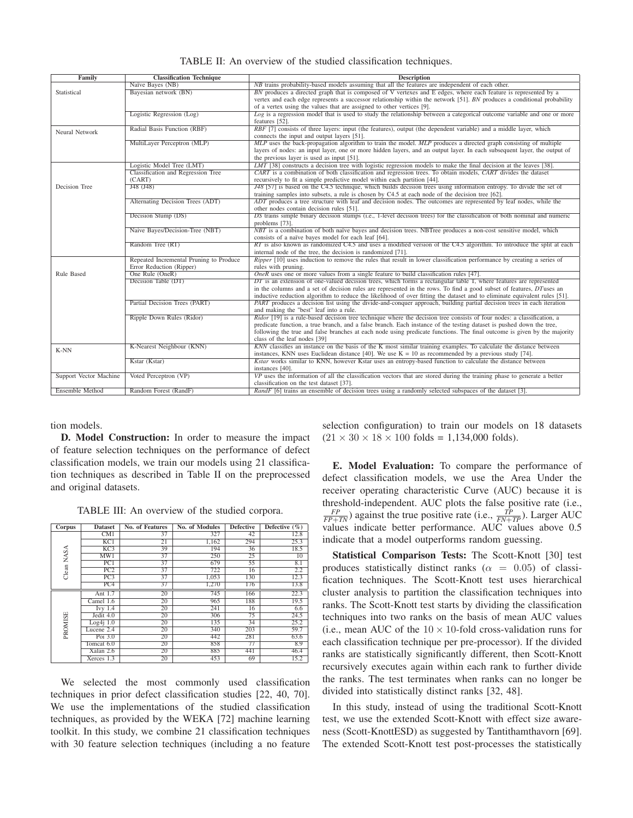| Family                        | <b>Classification Technique</b>                                                                                                                                 | <b>Description</b>                                                                                                                                                |  |  |
|-------------------------------|-----------------------------------------------------------------------------------------------------------------------------------------------------------------|-------------------------------------------------------------------------------------------------------------------------------------------------------------------|--|--|
|                               | Naïve Bayes (NB)                                                                                                                                                | NB trains probability-based models assuming that all the features are independent of each other.                                                                  |  |  |
| Statistical                   | Bayesian network (BN)                                                                                                                                           | BN produces a directed graph that is composed of V vertexes and E edges, where each feature is represented by a                                                   |  |  |
|                               |                                                                                                                                                                 | vertex and each edge represents a successor relationship within the network [51]. BN produces a conditional probability                                           |  |  |
|                               |                                                                                                                                                                 | of a vertex using the values that are assigned to other vertices [9].                                                                                             |  |  |
|                               | Logistic Regression (Log)                                                                                                                                       | Log is a regression model that is used to study the relationship between a categorical outcome variable and one or more                                           |  |  |
|                               | Radial Basis Function (RBF)                                                                                                                                     | features [52].                                                                                                                                                    |  |  |
| Neural Network                | RBF [7] consists of three layers: input (the features), output (the dependent variable) and a middle layer, which<br>connects the input and output layers [51]. |                                                                                                                                                                   |  |  |
|                               | MultiLayer Perceptron (MLP)                                                                                                                                     | MLP uses the back-propagation algorithm to train the model. MLP produces a directed graph consisting of multiple                                                  |  |  |
|                               |                                                                                                                                                                 | layers of nodes: an input layer, one or more hidden layers, and an output layer. In each subsequent layer, the output of                                          |  |  |
|                               |                                                                                                                                                                 | the previous layer is used as input [51].                                                                                                                         |  |  |
|                               | Logistic Model Tree (LMT)                                                                                                                                       | LMT [38] constructs a decision tree with logistic regression models to make the final decision at the leaves [38].                                                |  |  |
|                               | Classification and Regression Tree                                                                                                                              | CART is a combination of both classification and regression trees. To obtain models, CART divides the dataset                                                     |  |  |
|                               | (CART)                                                                                                                                                          | recursively to fit a simple predictive model within each partition [44].                                                                                          |  |  |
| Decision Tree                 | J48 (J48)                                                                                                                                                       | J48 [57] is based on the C4.5 technique, which builds decision trees using information entropy. To divide the set of                                              |  |  |
|                               |                                                                                                                                                                 | training samples into subsets, a rule is chosen by C4.5 at each node of the decision tree [62].                                                                   |  |  |
|                               | Alternating Decision Trees (ADT)                                                                                                                                | ADT produces a tree structure with leaf and decision nodes. The outcomes are represented by leaf nodes, while the                                                 |  |  |
|                               |                                                                                                                                                                 | other nodes contain decision rules [51].                                                                                                                          |  |  |
|                               | Decision Stump (DS)                                                                                                                                             | DS trains simple binary decision stumps (i.e., 1-level decision trees) for the classification of both nominal and numeric                                         |  |  |
|                               |                                                                                                                                                                 | problems [73].                                                                                                                                                    |  |  |
|                               | Naive Bayes/Decision-Tree (NBT)                                                                                                                                 | NBT is a combination of both naïve bayes and decision trees. NBTree produces a non-cost sensitive model, which                                                    |  |  |
|                               |                                                                                                                                                                 | consists of a naïve bayes model for each leaf [64].                                                                                                               |  |  |
|                               | Random Tree (RT)                                                                                                                                                | $RT$ is also known as randomized C4.5 and uses a modified version of the C4.5 algorithm. To introduce the split at each                                           |  |  |
|                               |                                                                                                                                                                 | internal node of the tree, the decision is randomized [71].                                                                                                       |  |  |
|                               | Repeated Incremental Pruning to Produce                                                                                                                         | <i>Ripper</i> [10] uses induction to remove the rules that result in lower classification performance by creating a series of                                     |  |  |
|                               | Error Reduction (Ripper)                                                                                                                                        | rules with pruning.                                                                                                                                               |  |  |
| Rule Based                    | One Rule (OneR)                                                                                                                                                 | $\overline{OneR}$ uses one or more values from a single feature to build classification rules [47].                                                               |  |  |
|                               | Decision Table (DT)                                                                                                                                             | $DT$ is an extension of one-valued decision trees, which forms a rectangular table T, where features are represented                                              |  |  |
|                               |                                                                                                                                                                 | in the columns and a set of decision rules are represented in the rows. To find a good subset of features, DTuses an                                              |  |  |
|                               | Partial Decision Trees (PART)                                                                                                                                   | inductive reduction algorithm to reduce the likelihood of over fitting the dataset and to eliminate equivalent rules [51].                                        |  |  |
|                               |                                                                                                                                                                 | PART produces a decision list using the divide-and-conquer approach, building partial decision trees in each iteration<br>and making the "best" leaf into a rule. |  |  |
|                               | Ripple Down Rules (Ridor)                                                                                                                                       | <i>Ridor</i> [19] is a rule-based decision tree technique where the decision tree consists of four nodes: a classification, a                                     |  |  |
|                               |                                                                                                                                                                 | predicate function, a true branch, and a false branch. Each instance of the testing dataset is pushed down the tree,                                              |  |  |
|                               |                                                                                                                                                                 | following the true and false branches at each node using predicate functions. The final outcome is given by the majority                                          |  |  |
|                               |                                                                                                                                                                 | class of the leaf nodes [39]                                                                                                                                      |  |  |
|                               | K-Nearest Neighbour (KNN)                                                                                                                                       | KNN classifies an instance on the basis of the K most similar training examples. To calculate the distance between                                                |  |  |
| K-NN                          |                                                                                                                                                                 | instances, KNN uses Euclidean distance [40]. We use $K = 10$ as recommended by a previous study [74].                                                             |  |  |
|                               | Kstar (Kstar)                                                                                                                                                   | Kstar works similar to KNN, however Kstar uses an entropy-based function to calculate the distance between                                                        |  |  |
|                               |                                                                                                                                                                 | instances [40].                                                                                                                                                   |  |  |
| <b>Support Vector Machine</b> | Voted Perceptron (VP)                                                                                                                                           | VP uses the information of all the classification vectors that are stored during the training phase to generate a better                                          |  |  |
|                               |                                                                                                                                                                 | classification on the test dataset [37].                                                                                                                          |  |  |
| <b>Ensemble Method</b>        | Random Forest (RandF)                                                                                                                                           | RandF [6] trains an ensemble of decision trees using a randomly selected subspaces of the dataset [3].                                                            |  |  |

TABLE II: An overview of the studied classification techniques.

tion models.

D. Model Construction: In order to measure the impact of feature selection techniques on the performance of defect classification models, we train our models using 21 classification techniques as described in Table II on the preprocessed and original datasets.

TABLE III: An overview of the studied corpora.

| <b>Corpus</b> | <b>Dataset</b>   | <b>No. of Features</b> | No. of Modules | <b>Defective</b> | Defective $(\% )$ |
|---------------|------------------|------------------------|----------------|------------------|-------------------|
|               | CM1              | 37                     | 327            | 42               | 12.8              |
|               | KCl              | 21                     | 1,162          | 294              | 25.3              |
|               | $\overline{KC3}$ | 39                     | 194            | 36               | 18.5              |
| Clean NASA    | MW1              | 37                     | 250            | 25               | 10                |
|               | PC1              | 37                     | 679            | 55               | 8.1               |
|               | PC2              | 37                     | 722            | 16               | 2.2               |
|               | PC3              | 37                     | 1,053          | 130              | 12.3              |
|               | PC4              | 37                     | 1.270          | 176              | 13.8              |
|               | Ant $1.7$        | 20                     | 745            | 166              | 22.3              |
| PROMISE       | Camel 1.6        | 20                     | 965            | 188              | 19.5              |
|               | $Ivy$ 1.4        | 20                     | 241            | 16               | 6.6               |
|               | Jedit 4.0        | 20                     | 306            | 75               | 24.5              |
|               | $Log4i$ 1.0      | 20                     | 135            | 34               | 25.2              |
|               | Lucene 2.4       | 20                     | 340            | 203              | 59.7              |
|               | Poi $3.0$        | 20                     | 442            | 281              | 63.6              |
|               | Tomcat 6.0       | 20                     | 858            | 77               | 8.9               |
|               | Xalan 2.6        | 20                     | 885            | 441              | 46.4              |
|               | Xerces 1.3       | 20                     | 453            | 69               | 15.2              |

We selected the most commonly used classification techniques in prior defect classification studies [22, 40, 70]. We use the implementations of the studied classification techniques, as provided by the WEKA [72] machine learning toolkit. In this study, we combine 21 classification techniques with 30 feature selection techniques (including a no feature

selection configuration) to train our models on 18 datasets  $(21 \times 30 \times 18 \times 100 \text{ folds} = 1,134,000 \text{ folds}).$ 

E. Model Evaluation: To compare the performance of defect classification models, we use the Area Under the receiver operating characteristic Curve (AUC) because it is threshold-independent. AUC plots the false positive rate (i.e.,  $\frac{FP}{FP+TN}$ ) against the true positive rate (i.e.,  $\frac{TP}{FN+TP}$ ). Larger AUC values indicate better performance. AUC values above 0.5 indicate that a model outperforms random guessing.

Statistical Comparison Tests: The Scott-Knott [30] test produces statistically distinct ranks ( $\alpha = 0.05$ ) of classification techniques. The Scott-Knott test uses hierarchical cluster analysis to partition the classification techniques into ranks. The Scott-Knott test starts by dividing the classification techniques into two ranks on the basis of mean AUC values (i.e., mean AUC of the  $10 \times 10$ -fold cross-validation runs for each classification technique per pre-processor). If the divided ranks are statistically significantly different, then Scott-Knott recursively executes again within each rank to further divide the ranks. The test terminates when ranks can no longer be divided into statistically distinct ranks [32, 48].

In this study, instead of using the traditional Scott-Knott test, we use the extended Scott-Knott with effect size awareness (Scott-KnottESD) as suggested by Tantithamthavorn [69]. The extended Scott-Knott test post-processes the statistically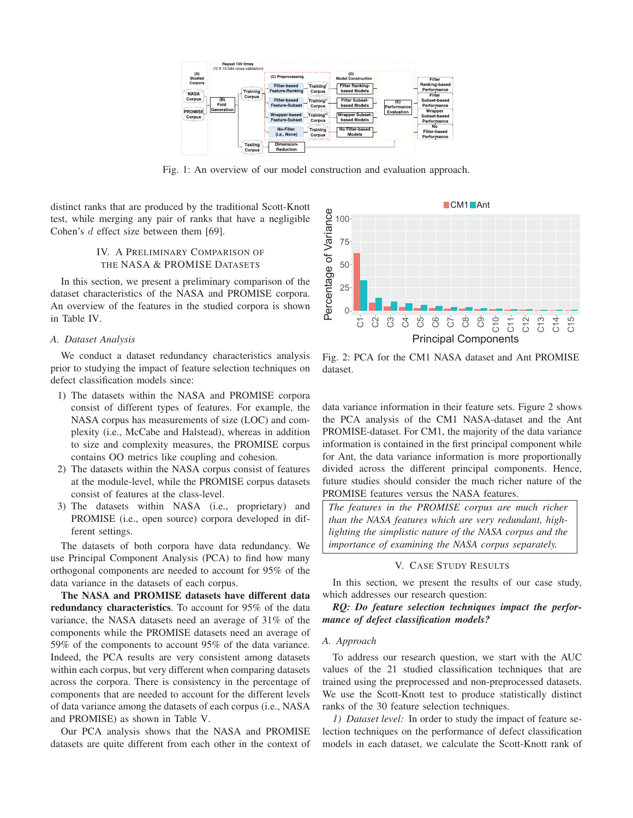

Fig. 1: An overview of our model construction and evaluation approach.

distinct ranks that are produced by the traditional Scott-Knott test, while merging any pair of ranks that have a negligible Cohen's d effect size between them [69].

# IV. A PRELIMINARY COMPARISON OF THE NASA & PROMISE DATASETS

In this section, we present a preliminary comparison of the dataset characteristics of the NASA and PROMISE corpora. An overview of the features in the studied corpora is shown in Table IV.

#### *A. Dataset Analysis*

We conduct a dataset redundancy characteristics analysis prior to studying the impact of feature selection techniques on defect classification models since:

- 1) The datasets within the NASA and PROMISE corpora consist of different types of features. For example, the NASA corpus has measurements of size (LOC) and complexity (i.e., McCabe and Halstead), whereas in addition to size and complexity measures, the PROMISE corpus contains OO metrics like coupling and cohesion.
- 2) The datasets within the NASA corpus consist of features at the module-level, while the PROMISE corpus datasets consist of features at the class-level.
- 3) The datasets within NASA (i.e., proprietary) and PROMISE (i.e., open source) corpora developed in different settings.

The datasets of both corpora have data redundancy. We use Principal Component Analysis (PCA) to find how many orthogonal components are needed to account for 95% of the data variance in the datasets of each corpus.

The NASA and PROMISE datasets have different data redundancy characteristics. To account for 95% of the data variance, the NASA datasets need an average of 31% of the components while the PROMISE datasets need an average of 59% of the components to account 95% of the data variance. Indeed, the PCA results are very consistent among datasets within each corpus, but very different when comparing datasets across the corpora. There is consistency in the percentage of components that are needed to account for the different levels of data variance among the datasets of each corpus (i.e., NASA and PROMISE) as shown in Table V.

Our PCA analysis shows that the NASA and PROMISE datasets are quite different from each other in the context of



Fig. 2: PCA for the CM1 NASA dataset and Ant PROMISE dataset.

data variance information in their feature sets. Figure 2 shows the PCA analysis of the CM1 NASA-dataset and the Ant PROMISE-dataset. For CM1, the majority of the data variance information is contained in the first principal component while for Ant, the data variance information is more proportionally divided across the different principal components. Hence, future studies should consider the much richer nature of the PROMISE features versus the NASA features.

*The features in the PROMISE corpus are much richer than the NASA features which are very redundant, highlighting the simplistic nature of the NASA corpus and the importance of examining the NASA corpus separately.*

#### V. CASE STUDY RESULTS

In this section, we present the results of our case study, which addresses our research question:

*RQ: Do feature selection techniques impact the performance of defect classification models?*

# *A. Approach*

To address our research question, we start with the AUC values of the 21 studied classification techniques that are trained using the preprocessed and non-preprocessed datasets. We use the Scott-Knott test to produce statistically distinct ranks of the 30 feature selection techniques.

*1) Dataset level:* In order to study the impact of feature selection techniques on the performance of defect classification models in each dataset, we calculate the Scott-Knott rank of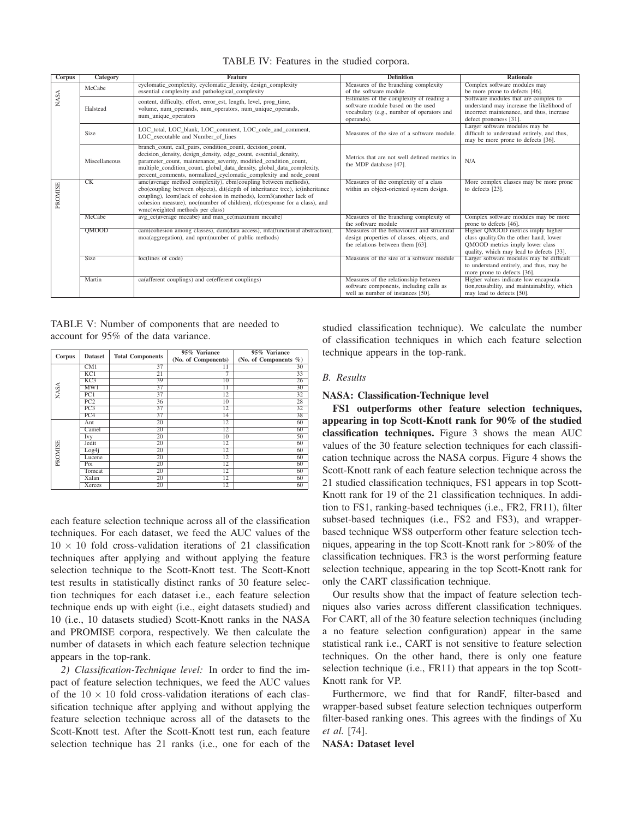| Corpus      | Category      | <b>Feature</b>                                                                                                                                                                                                                                                                                                                                    | <b>Definition</b>                                                                                                                        | <b>Rationale</b>                                                                                                                                            |
|-------------|---------------|---------------------------------------------------------------------------------------------------------------------------------------------------------------------------------------------------------------------------------------------------------------------------------------------------------------------------------------------------|------------------------------------------------------------------------------------------------------------------------------------------|-------------------------------------------------------------------------------------------------------------------------------------------------------------|
|             | McCabe        | cyclomatic_complexity, cyclomatic_density, design_complexity<br>essential complexity and pathological complexity                                                                                                                                                                                                                                  | Measures of the branching complexity<br>of the software module.                                                                          | Complex software modules may<br>be more prone to defects [46].                                                                                              |
| <b>NASA</b> | Halstead      | content, difficulty, effort, error_est, length, level, prog_time,<br>volume, num operands, num operators, num unique operands,<br>num_unique_operators                                                                                                                                                                                            | Estimates of the complexity of reading a<br>software module based on the used<br>vocabulary (e.g., number of operators and<br>operands). | Software modules that are complex to<br>understand may increase the likelihood of<br>incorrect maintenance, and thus, increase<br>defect proneness [31].    |
|             | Size          | LOC total, LOC blank, LOC comment, LOC code and comment,<br>LOC executable and Number of lines                                                                                                                                                                                                                                                    | Measures of the size of a software module.                                                                                               | Larger software modules may be<br>difficult to understand entirely, and thus,<br>may be more prone to defects [36].                                         |
|             | Miscellaneous | branch_count, call_pairs, condition_count, decision_count,<br>decision density, design density, edge count, essential density,<br>parameter_count, maintenance_severity, modified_condition_count,<br>multiple_condition_count, global_data_density, global_data_complexity,<br>percent_comments, normalized_cyclomatic_complexity and node_count | Metrics that are not well defined metrics in<br>the MDP database [47].                                                                   | N/A                                                                                                                                                         |
| PROMISE     | CK            | amc(average method complexity), cbm(coupling between methods),<br>cbo(coupling between objects), dit(depth of inheritance tree), ic(inheritance<br>coupling), lcom(lack of cohesion in methods), lcom3(another lack of<br>cohesion measure), noc(number of children), rfc(response for a class), and<br>wmc(weighted methods per class)           | Measures of the complexity of a class<br>within an object-oriented system design.                                                        | More complex classes may be more prone<br>to defects [23].                                                                                                  |
|             | McCabe        | avg_cc(average mccabe) and max_cc(maximum mccabe)                                                                                                                                                                                                                                                                                                 | Measures of the branching complexity of<br>the software module                                                                           | Complex software modules may be more<br>prone to defects [46].                                                                                              |
|             | QMOOD         | cam(cohesion among classes), dam(data access), mfa(functional abstraction),<br>moa(aggregation), and npm(number of public methods)                                                                                                                                                                                                                | Measures of the behavioural and structural<br>design properties of classes, objects, and<br>the relations between them [63].             | Higher QMOOD metrics imply higher<br>class quality. On the other hand, lower<br>QMOOD metrics imply lower class<br>quality, which may lead to defects [33]. |
|             | <b>Size</b>   | loc(lines of code)                                                                                                                                                                                                                                                                                                                                | Measures of the size of a software module                                                                                                | Larger software modules may be difficult<br>to understand entirely, and thus, may be<br>more prone to defects [36].                                         |
|             | Martin        | ca(afferent couplings) and ce(efferent couplings)                                                                                                                                                                                                                                                                                                 | Measures of the relationship between<br>software components, including calls as<br>well as number of instances [50].                     | Higher values indicate low encapsula-<br>tion, reusability, and maintainability, which<br>may lead to defects [50].                                         |

TABLE IV: Features in the studied corpora.

TABLE V: Number of components that are needed to account for 95% of the data variance.

|             | <b>Dataset</b> | <b>Total Components</b> | 95% Variance        | 95% Variance          |  |
|-------------|----------------|-------------------------|---------------------|-----------------------|--|
| Corpus      |                |                         | (No. of Components) | (No. of Components %) |  |
|             | CM1            | 37                      | 11                  | 30                    |  |
|             | KCI            | $\overline{21}$         |                     | 33                    |  |
|             | KC3            | 39                      | $\overline{10}$     | 26                    |  |
|             | MWI            | 37                      | $\overline{11}$     | 30                    |  |
| <b>NASA</b> | PC1            | 37                      | 12                  | 32                    |  |
|             | PC2            | 36                      | 10                  | 28                    |  |
|             | PC3            | 37                      | 12                  | 32                    |  |
|             | PC4            | 37                      | 14                  | 38                    |  |
|             | Ant            | 20                      | 12                  | 60                    |  |
|             | Camel          | 20                      | 12                  | 60                    |  |
| PROMISE     | Ivy            | 20                      | 10                  | 50                    |  |
|             | Jedit          | 20                      | 12                  | 60                    |  |
|             | Log4i          | 20                      | 12                  | 60                    |  |
|             | Lucene         | 20                      | 12                  | 60                    |  |
|             | Poi            | 20                      | 12                  | 60                    |  |
|             | Tomcat         | 20                      | 12                  | 60                    |  |
|             | Xalan          | 20                      | 12                  | 60                    |  |
|             | Xerces         | 20                      | 12                  | 60                    |  |

each feature selection technique across all of the classification techniques. For each dataset, we feed the AUC values of the  $10 \times 10$  fold cross-validation iterations of 21 classification techniques after applying and without applying the feature selection technique to the Scott-Knott test. The Scott-Knott test results in statistically distinct ranks of 30 feature selection techniques for each dataset i.e., each feature selection technique ends up with eight (i.e., eight datasets studied) and 10 (i.e., 10 datasets studied) Scott-Knott ranks in the NASA and PROMISE corpora, respectively. We then calculate the number of datasets in which each feature selection technique appears in the top-rank.

*2) Classification-Technique level:* In order to find the impact of feature selection techniques, we feed the AUC values of the  $10 \times 10$  fold cross-validation iterations of each classification technique after applying and without applying the feature selection technique across all of the datasets to the Scott-Knott test. After the Scott-Knott test run, each feature selection technique has 21 ranks (i.e., one for each of the studied classification technique). We calculate the number of classification techniques in which each feature selection technique appears in the top-rank.

# *B. Results*

# NASA: Classification-Technique level

FS1 outperforms other feature selection techniques, appearing in top Scott-Knott rank for 90% of the studied classification techniques. Figure 3 shows the mean AUC values of the 30 feature selection techniques for each classification technique across the NASA corpus. Figure 4 shows the Scott-Knott rank of each feature selection technique across the 21 studied classification techniques, FS1 appears in top Scott-Knott rank for 19 of the 21 classification techniques. In addition to FS1, ranking-based techniques (i.e., FR2, FR11), filter subset-based techniques (i.e., FS2 and FS3), and wrapperbased technique WS8 outperform other feature selection techniques, appearing in the top Scott-Knott rank for >80% of the classification techniques. FR3 is the worst performing feature selection technique, appearing in the top Scott-Knott rank for only the CART classification technique.

Our results show that the impact of feature selection techniques also varies across different classification techniques. For CART, all of the 30 feature selection techniques (including a no feature selection configuration) appear in the same statistical rank i.e., CART is not sensitive to feature selection techniques. On the other hand, there is only one feature selection technique (i.e., FR11) that appears in the top Scott-Knott rank for VP.

Furthermore, we find that for RandF, filter-based and wrapper-based subset feature selection techniques outperform filter-based ranking ones. This agrees with the findings of Xu *et al.* [74].

NASA: Dataset level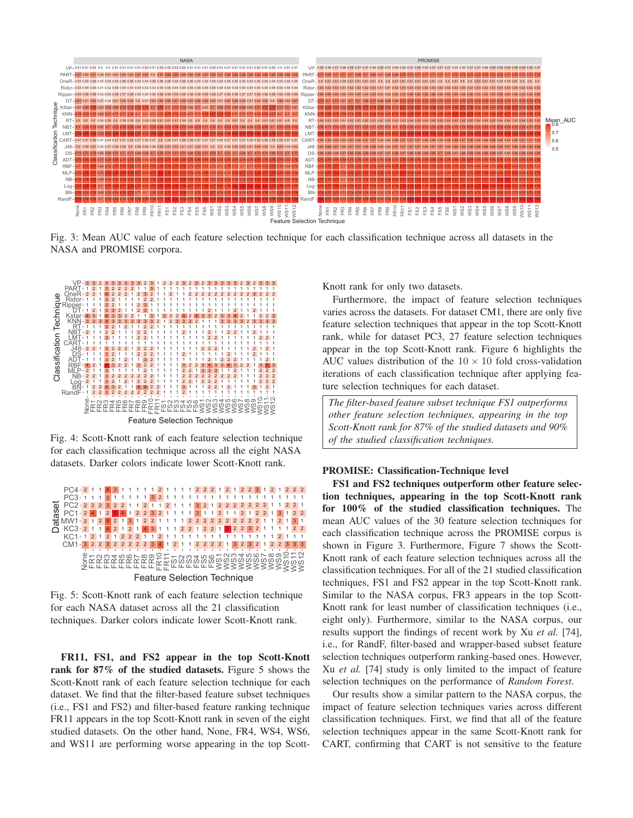

Fig. 3: Mean AUC value of each feature selection technique for each classification technique across all datasets in the NASA and PROMISE corpora.



Fig. 4: Scott-Knott rank of each feature selection technique for each classification technique across all the eight NASA datasets. Darker colors indicate lower Scott-Knott rank.



Fig. 5: Scott-Knott rank of each feature selection technique for each NASA dataset across all the 21 classification techniques. Darker colors indicate lower Scott-Knott rank.

FR11, FS1, and FS2 appear in the top Scott-Knott rank for 87% of the studied datasets. Figure 5 shows the Scott-Knott rank of each feature selection technique for each dataset. We find that the filter-based feature subset techniques (i.e., FS1 and FS2) and filter-based feature ranking technique FR11 appears in the top Scott-Knott rank in seven of the eight studied datasets. On the other hand, None, FR4, WS4, WS6, and WS11 are performing worse appearing in the top ScottKnott rank for only two datasets.

Furthermore, the impact of feature selection techniques varies across the datasets. For dataset CM1, there are only five feature selection techniques that appear in the top Scott-Knott rank, while for dataset PC3, 27 feature selection techniques appear in the top Scott-Knott rank. Figure 6 highlights the AUC values distribution of the  $10 \times 10$  fold cross-validation iterations of each classification technique after applying feature selection techniques for each dataset.

*The filter-based feature subset technique FS1 outperforms other feature selection techniques, appearing in the top Scott-Knott rank for 87% of the studied datasets and 90% of the studied classification techniques.*

#### PROMISE: Classification-Technique level

FS1 and FS2 techniques outperform other feature selection techniques, appearing in the top Scott-Knott rank for 100% of the studied classification techniques. The mean AUC values of the 30 feature selection techniques for each classification technique across the PROMISE corpus is shown in Figure 3. Furthermore, Figure 7 shows the Scott-Knott rank of each feature selection techniques across all the classification techniques. For all of the 21 studied classification techniques, FS1 and FS2 appear in the top Scott-Knott rank. Similar to the NASA corpus, FR3 appears in the top Scott-Knott rank for least number of classification techniques (i.e., eight only). Furthermore, similar to the NASA corpus, our results support the findings of recent work by Xu *et al.* [74], i.e., for RandF, filter-based and wrapper-based subset feature selection techniques outperform ranking-based ones. However, Xu *et al.* [74] study is only limited to the impact of feature selection techniques on the performance of *Random Forest*.

Our results show a similar pattern to the NASA corpus, the impact of feature selection techniques varies across different classification techniques. First, we find that all of the feature selection techniques appear in the same Scott-Knott rank for CART, confirming that CART is not sensitive to the feature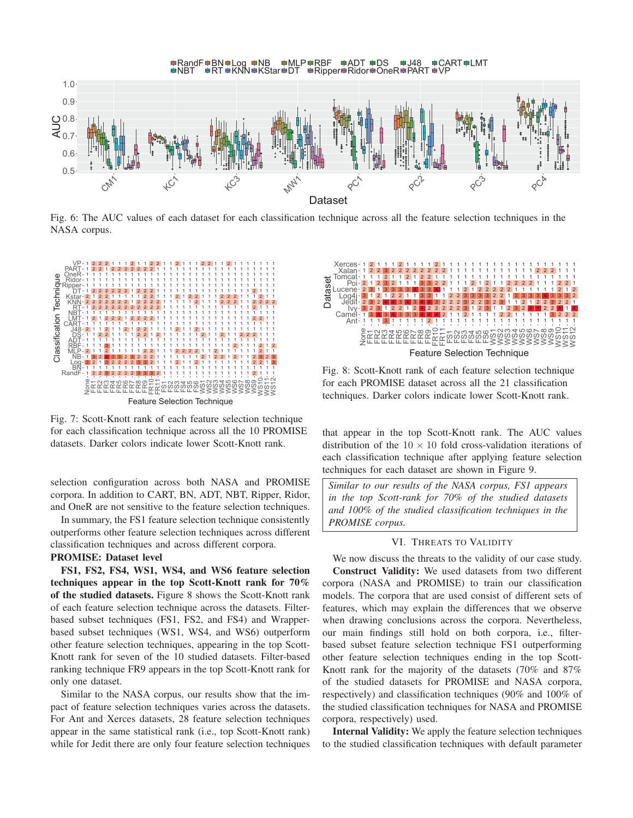

Fig. 6: The AUC values of each dataset for each classification technique across all the feature selection techniques in the NASA corpus.



Fig. 7: Scott-Knott rank of each feature selection technique for each classification technique across all the 10 PROMISE datasets. Darker colors indicate lower Scott-Knott rank.

selection configuration across both NASA and PROMISE corpora. In addition to CART, BN, ADT, NBT, Ripper, Ridor, and OneR are not sensitive to the feature selection techniques.

In summary, the FS1 feature selection technique consistently outperforms other feature selection techniques across different classification techniques and across different corpora.

# PROMISE: Dataset level

FS1, FS2, FS4, WS1, WS4, and WS6 feature selection techniques appear in the top Scott-Knott rank for 70% of the studied datasets. Figure 8 shows the Scott-Knott rank of each feature selection technique across the datasets. Filterbased subset techniques (FS1, FS2, and FS4) and Wrapperbased subset techniques (WS1, WS4, and WS6) outperform other feature selection techniques, appearing in the top Scott-Knott rank for seven of the 10 studied datasets. Filter-based ranking technique FR9 appears in the top Scott-Knott rank for only one dataset.

Similar to the NASA corpus, our results show that the impact of feature selection techniques varies across the datasets. For Ant and Xerces datasets, 28 feature selection techniques appear in the same statistical rank (i.e., top Scott-Knott rank) while for Jedit there are only four feature selection techniques



Fig. 8: Scott-Knott rank of each feature selection technique for each PROMISE dataset across all the 21 classification techniques. Darker colors indicate lower Scott-Knott rank.

that appear in the top Scott-Knott rank. The AUC values distribution of the  $10 \times 10$  fold cross-validation iterations of each classification technique after applying feature selection techniques for each dataset are shown in Figure 9.

*Similar to our results of the NASA corpus, FS1 appears in the top Scott-rank for 70% of the studied datasets and 100% of the studied classification techniques in the PROMISE corpus.*

# VI. THREATS TO VALIDITY

We now discuss the threats to the validity of our case study. Construct Validity: We used datasets from two different corpora (NASA and PROMISE) to train our classification models. The corpora that are used consist of different sets of features, which may explain the differences that we observe when drawing conclusions across the corpora. Nevertheless, our main findings still hold on both corpora, i.e., filterbased subset feature selection technique FS1 outperforming other feature selection techniques ending in the top Scott-Knott rank for the majority of the datasets (70% and 87% of the studied datasets for PROMISE and NASA corpora, respectively) and classification techniques (90% and 100% of the studied classification techniques for NASA and PROMISE corpora, respectively) used.

Internal Validity: We apply the feature selection techniques to the studied classification techniques with default parameter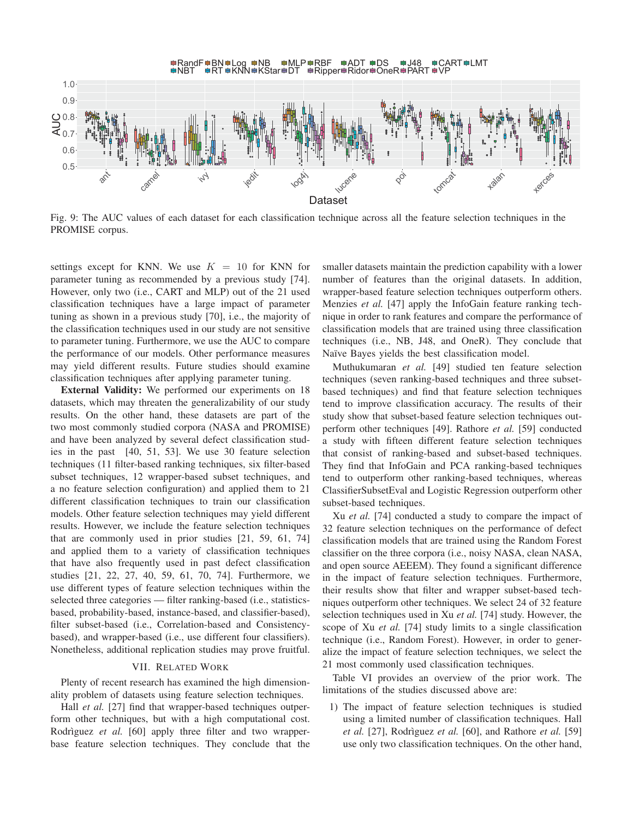

Fig. 9: The AUC values of each dataset for each classification technique across all the feature selection techniques in the PROMISE corpus.

settings except for KNN. We use  $K = 10$  for KNN for parameter tuning as recommended by a previous study [74]. However, only two (i.e., CART and MLP) out of the 21 used classification techniques have a large impact of parameter tuning as shown in a previous study [70], i.e., the majority of the classification techniques used in our study are not sensitive to parameter tuning. Furthermore, we use the AUC to compare the performance of our models. Other performance measures may yield different results. Future studies should examine classification techniques after applying parameter tuning.

External Validity: We performed our experiments on 18 datasets, which may threaten the generalizability of our study results. On the other hand, these datasets are part of the two most commonly studied corpora (NASA and PROMISE) and have been analyzed by several defect classification studies in the past [40, 51, 53]. We use 30 feature selection techniques (11 filter-based ranking techniques, six filter-based subset techniques, 12 wrapper-based subset techniques, and a no feature selection configuration) and applied them to 21 different classification techniques to train our classification models. Other feature selection techniques may yield different results. However, we include the feature selection techniques that are commonly used in prior studies [21, 59, 61, 74] and applied them to a variety of classification techniques that have also frequently used in past defect classification studies [21, 22, 27, 40, 59, 61, 70, 74]. Furthermore, we use different types of feature selection techniques within the selected three categories — filter ranking-based (i.e., statisticsbased, probability-based, instance-based, and classifier-based), filter subset-based (i.e., Correlation-based and Consistencybased), and wrapper-based (i.e., use different four classifiers). Nonetheless, additional replication studies may prove fruitful.

#### VII. RELATED WORK

Plenty of recent research has examined the high dimensionality problem of datasets using feature selection techniques.

Hall *et al.* [27] find that wrapper-based techniques outperform other techniques, but with a high computational cost. Rodrìguez *et al.* [60] apply three filter and two wrapperbase feature selection techniques. They conclude that the smaller datasets maintain the prediction capability with a lower number of features than the original datasets. In addition, wrapper-based feature selection techniques outperform others. Menzies *et al.* [47] apply the InfoGain feature ranking technique in order to rank features and compare the performance of classification models that are trained using three classification techniques (i.e., NB, J48, and OneR). They conclude that Naïve Bayes yields the best classification model.

Muthukumaran *et al.* [49] studied ten feature selection techniques (seven ranking-based techniques and three subsetbased techniques) and find that feature selection techniques tend to improve classification accuracy. The results of their study show that subset-based feature selection techniques outperform other techniques [49]. Rathore *et al.* [59] conducted a study with fifteen different feature selection techniques that consist of ranking-based and subset-based techniques. They find that InfoGain and PCA ranking-based techniques tend to outperform other ranking-based techniques, whereas ClassifierSubsetEval and Logistic Regression outperform other subset-based techniques.

Xu *et al.* [74] conducted a study to compare the impact of 32 feature selection techniques on the performance of defect classification models that are trained using the Random Forest classifier on the three corpora (i.e., noisy NASA, clean NASA, and open source AEEEM). They found a significant difference in the impact of feature selection techniques. Furthermore, their results show that filter and wrapper subset-based techniques outperform other techniques. We select 24 of 32 feature selection techniques used in Xu *et al.* [74] study. However, the scope of Xu *et al.* [74] study limits to a single classification technique (i.e., Random Forest). However, in order to generalize the impact of feature selection techniques, we select the 21 most commonly used classification techniques.

Table VI provides an overview of the prior work. The limitations of the studies discussed above are:

1) The impact of feature selection techniques is studied using a limited number of classification techniques. Hall *et al.* [27], Rodrìguez *et al.* [60], and Rathore *et al.* [59] use only two classification techniques. On the other hand,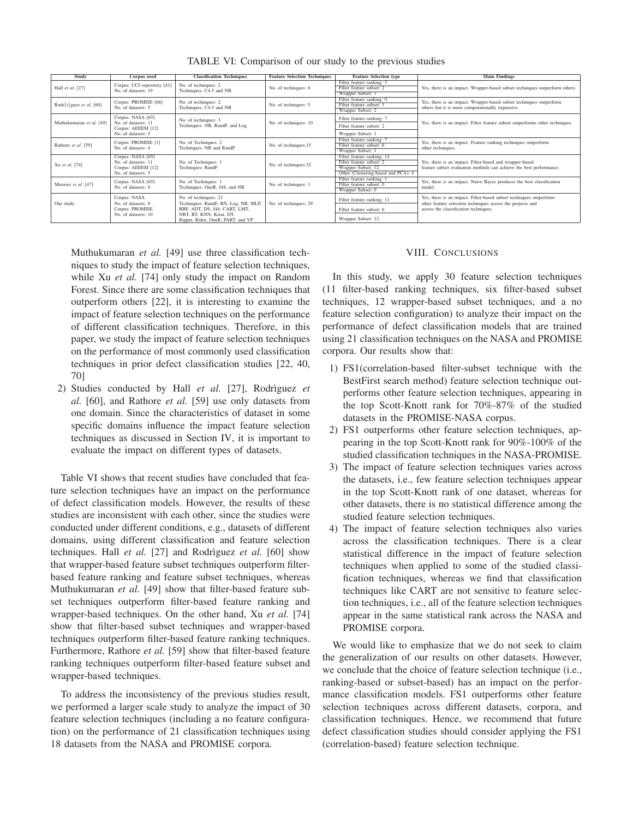| Study                                | Corpus used                               | <b>Classification Techniques</b>                 | <b>Feature Selection Techniques</b> | <b>Feature Selection type</b>       | <b>Main Findings</b>                                                                |
|--------------------------------------|-------------------------------------------|--------------------------------------------------|-------------------------------------|-------------------------------------|-------------------------------------------------------------------------------------|
|                                      |                                           |                                                  |                                     |                                     |                                                                                     |
|                                      | Corpus: UCI repository [41]               | No. of techniques: 2                             |                                     | Filter feature ranking: 3           |                                                                                     |
| Hall et al. [27]                     | No. of datasets: 19                       | Techniques: C4.5 and NB                          | No. of techniques: 6                | Filter feature subset: 2            | Yes, there is an impact. Wrapper-based subset techniques outperform others.         |
|                                      |                                           |                                                  |                                     | Wrapper Subset: 1                   |                                                                                     |
|                                      | Corpus: PROMISE [66]                      | No. of techniques: 2                             |                                     | Filter feature ranking: 0           | Yes, there is an impact. Wrapper-based subset techniques outperform                 |
| Rodr $\{i\}$ guez <i>et al.</i> [60] | No. of datasets: 5                        | Techniques: C4.5 and NB                          | No. of techniques: 5                | Filter feature subset:              | others but it is more computationally expensive.                                    |
|                                      |                                           |                                                  |                                     | Wrapper Subset: 2                   |                                                                                     |
|                                      | Corpus: NASA [65]                         | No. of techniques: 3                             |                                     | Filter feature ranking: 7           |                                                                                     |
| Muthukumaran et al. [49]             | No. of datasets: 11                       | Techniques: NB, RandF, and Log                   | No. of techniques: 10               | Filter feature subset: 2            | Yes, there is an impact. Filter feature subset outperforms other techniques.        |
|                                      | Corpus: AEEEM [12]                        |                                                  |                                     |                                     |                                                                                     |
|                                      | No. of datasets: 5                        |                                                  |                                     | Wrapper Subset: 1                   |                                                                                     |
|                                      | Corpus: PROMISE [1]<br>No. of datasets: 4 | No. of Techniques: 2<br>Techniques: NB and RandF | No. of techniques:15                | Filter feature ranking:             | Yes, there is an impact. Feature ranking techniques outperform<br>other techniques. |
| Rathore et al. [59]                  |                                           |                                                  |                                     | Filter feature subset: 6            |                                                                                     |
|                                      |                                           |                                                  |                                     | Wrapper Subset: 1                   |                                                                                     |
|                                      | Corpus: NASA [65]                         |                                                  |                                     | Filter feature ranking: 14          |                                                                                     |
| Xu et al. [74]                       | No. of datasets: 11                       | No. of Techniques: 1                             | No. of techniques:32                | Filter feature subset: 2            | Yes, there is an impact. Filter-based and wrapper-based                             |
|                                      | Corpus: AEEEM [12]                        | Techniques: RandF                                |                                     | Wrapper Subset: 12                  | feature subset evaluation methods can achieve the best performance.                 |
|                                      | No. of datasets: 5                        |                                                  |                                     | Other (Clustering-based and PCA): 4 |                                                                                     |
|                                      | Corpus: NASA [65]                         | No. of Techniques: 1                             |                                     | Filter feature ranking: 1           | Yes, there is an impact. Naive Bayes produces the best classification               |
| Menzies et al. [47]                  |                                           |                                                  | No. of techniques: 1                | Filter feature subset: 0            |                                                                                     |
|                                      | No. of datasets: 8                        | Techniques: OneR, J48, and NB                    |                                     | Wrapper Subset: 0                   | model.                                                                              |
|                                      | Corpus: NASA                              | No. of techniques: 21                            |                                     |                                     | Yes, there is an impact. Filter-based subset techniques outperform                  |
| Our study                            | No. of datasets: 8                        | Techniques: RandF, BN, Log, NB, MLP,             | No. of techniques: 29               | Filter feature ranking: 11          | other feature selection techniques across the projects and                          |
|                                      | Corpus: PROMISE                           | RBF, ADT, DS, J48, CART, LMT,                    |                                     | Filter feature subset: 6            | across the classification techniques.                                               |
|                                      | No. of datasets: 10                       | NBT, RT, KNN, Kstar, DT,                         |                                     |                                     |                                                                                     |
|                                      |                                           | Ripper, Ridor, OneR, PART, and VP                |                                     | Wrapper Subset: 12                  |                                                                                     |

TABLE VI: Comparison of our study to the previous studies

Muthukumaran *et al.* [49] use three classification techniques to study the impact of feature selection techniques, while Xu *et al.* [74] only study the impact on Random Forest. Since there are some classification techniques that outperform others [22], it is interesting to examine the impact of feature selection techniques on the performance of different classification techniques. Therefore, in this paper, we study the impact of feature selection techniques on the performance of most commonly used classification techniques in prior defect classification studies [22, 40, 70]

2) Studies conducted by Hall *et al.* [27], Rodrìguez *et al.* [60], and Rathore *et al.* [59] use only datasets from one domain. Since the characteristics of dataset in some specific domains influence the impact feature selection techniques as discussed in Section IV, it is important to evaluate the impact on different types of datasets.

Table VI shows that recent studies have concluded that feature selection techniques have an impact on the performance of defect classification models. However, the results of these studies are inconsistent with each other, since the studies were conducted under different conditions, e.g., datasets of different domains, using different classification and feature selection techniques. Hall *et al.* [27] and Rodrìguez *et al.* [60] show that wrapper-based feature subset techniques outperform filterbased feature ranking and feature subset techniques, whereas Muthukumaran *et al.* [49] show that filter-based feature subset techniques outperform filter-based feature ranking and wrapper-based techniques. On the other hand, Xu *et al.* [74] show that filter-based subset techniques and wrapper-based techniques outperform filter-based feature ranking techniques. Furthermore, Rathore *et al.* [59] show that filter-based feature ranking techniques outperform filter-based feature subset and wrapper-based techniques.

To address the inconsistency of the previous studies result, we performed a larger scale study to analyze the impact of 30 feature selection techniques (including a no feature configuration) on the performance of 21 classification techniques using 18 datasets from the NASA and PROMISE corpora.

# VIII. CONCLUSIONS

In this study, we apply 30 feature selection techniques (11 filter-based ranking techniques, six filter-based subset techniques, 12 wrapper-based subset techniques, and a no feature selection configuration) to analyze their impact on the performance of defect classification models that are trained using 21 classification techniques on the NASA and PROMISE corpora. Our results show that:

- 1) FS1(correlation-based filter-subset technique with the BestFirst search method) feature selection technique outperforms other feature selection techniques, appearing in the top Scott-Knott rank for 70%-87% of the studied datasets in the PROMISE-NASA corpus.
- 2) FS1 outperforms other feature selection techniques, appearing in the top Scott-Knott rank for 90%-100% of the studied classification techniques in the NASA-PROMISE.
- 3) The impact of feature selection techniques varies across the datasets, i.e., few feature selection techniques appear in the top Scott-Knott rank of one dataset, whereas for other datasets, there is no statistical difference among the studied feature selection techniques.
- 4) The impact of feature selection techniques also varies across the classification techniques. There is a clear statistical difference in the impact of feature selection techniques when applied to some of the studied classification techniques, whereas we find that classification techniques like CART are not sensitive to feature selection techniques, i.e., all of the feature selection techniques appear in the same statistical rank across the NASA and PROMISE corpora.

We would like to emphasize that we do not seek to claim the generalization of our results on other datasets. However, we conclude that the choice of feature selection technique (i.e., ranking-based or subset-based) has an impact on the performance classification models. FS1 outperforms other feature selection techniques across different datasets, corpora, and classification techniques. Hence, we recommend that future defect classification studies should consider applying the FS1 (correlation-based) feature selection technique.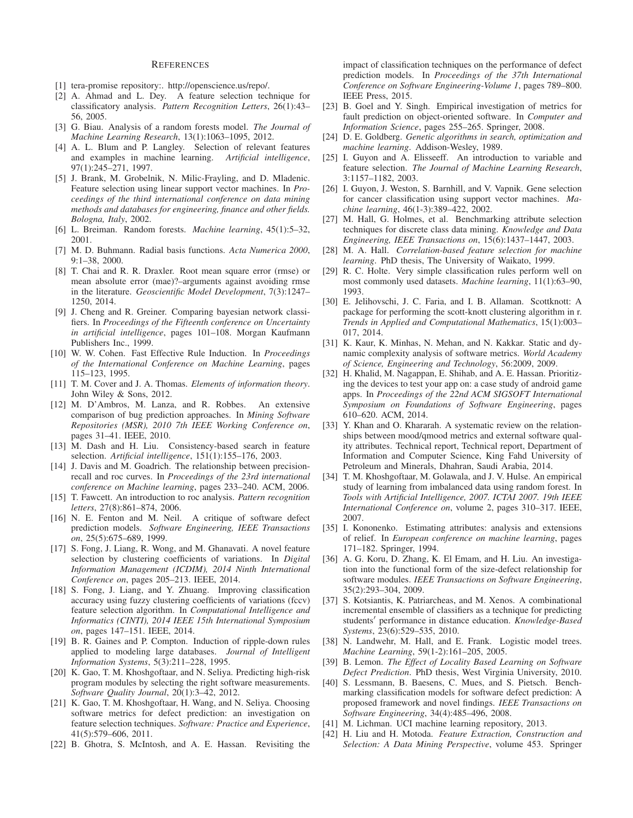#### **REFERENCES**

- [1] tera-promise repository:. http://openscience.us/repo/.
- [2] A. Ahmad and L. Dey. A feature selection technique for classificatory analysis. *Pattern Recognition Letters*, 26(1):43– 56, 2005.
- [3] G. Biau. Analysis of a random forests model. *The Journal of Machine Learning Research*, 13(1):1063–1095, 2012.
- [4] A. L. Blum and P. Langley. Selection of relevant features and examples in machine learning. *Artificial intelligence*, 97(1):245–271, 1997.
- [5] J. Brank, M. Grobelnik, N. Milic-Frayling, and D. Mladenic. Feature selection using linear support vector machines. In *Proceedings of the third international conference on data mining methods and databases for engineering, finance and other fields. Bologna, Italy*, 2002.
- [6] L. Breiman. Random forests. *Machine learning*, 45(1):5–32, 2001.
- [7] M. D. Buhmann. Radial basis functions. *Acta Numerica 2000*, 9:1–38, 2000.
- [8] T. Chai and R. R. Draxler. Root mean square error (rmse) or mean absolute error (mae)?–arguments against avoiding rmse in the literature. *Geoscientific Model Development*, 7(3):1247– 1250, 2014.
- [9] J. Cheng and R. Greiner. Comparing bayesian network classifiers. In *Proceedings of the Fifteenth conference on Uncertainty in artificial intelligence*, pages 101–108. Morgan Kaufmann Publishers Inc., 1999.
- [10] W. W. Cohen. Fast Effective Rule Induction. In *Proceedings of the International Conference on Machine Learning*, pages 115–123, 1995.
- [11] T. M. Cover and J. A. Thomas. *Elements of information theory*. John Wiley & Sons, 2012.
- [12] M. D'Ambros, M. Lanza, and R. Robbes. An extensive comparison of bug prediction approaches. In *Mining Software Repositories (MSR), 2010 7th IEEE Working Conference on*, pages 31–41. IEEE, 2010.
- [13] M. Dash and H. Liu. Consistency-based search in feature selection. *Artificial intelligence*, 151(1):155–176, 2003.
- [14] J. Davis and M. Goadrich. The relationship between precisionrecall and roc curves. In *Proceedings of the 23rd international conference on Machine learning*, pages 233–240. ACM, 2006.
- [15] T. Fawcett. An introduction to roc analysis. *Pattern recognition letters*, 27(8):861–874, 2006.
- [16] N. E. Fenton and M. Neil. A critique of software defect prediction models. *Software Engineering, IEEE Transactions on*, 25(5):675–689, 1999.
- [17] S. Fong, J. Liang, R. Wong, and M. Ghanavati. A novel feature selection by clustering coefficients of variations. In *Digital Information Management (ICDIM), 2014 Ninth International Conference on*, pages 205–213. IEEE, 2014.
- [18] S. Fong, J. Liang, and Y. Zhuang. Improving classification accuracy using fuzzy clustering coefficients of variations (fccv) feature selection algorithm. In *Computational Intelligence and Informatics (CINTI), 2014 IEEE 15th International Symposium on*, pages 147–151. IEEE, 2014.
- [19] B. R. Gaines and P. Compton. Induction of ripple-down rules applied to modeling large databases. *Journal of Intelligent Information Systems*, 5(3):211–228, 1995.
- [20] K. Gao, T. M. Khoshgoftaar, and N. Seliya. Predicting high-risk program modules by selecting the right software measurements. *Software Quality Journal*, 20(1):3–42, 2012.
- [21] K. Gao, T. M. Khoshgoftaar, H. Wang, and N. Seliya. Choosing software metrics for defect prediction: an investigation on feature selection techniques. *Software: Practice and Experience*, 41(5):579–606, 2011.
- [22] B. Ghotra, S. McIntosh, and A. E. Hassan. Revisiting the

impact of classification techniques on the performance of defect prediction models. In *Proceedings of the 37th International Conference on Software Engineering-Volume 1*, pages 789–800. IEEE Press, 2015.

- [23] B. Goel and Y. Singh. Empirical investigation of metrics for fault prediction on object-oriented software. In *Computer and Information Science*, pages 255–265. Springer, 2008.
- [24] D. E. Goldberg. *Genetic algorithms in search, optimization and machine learning*. Addison-Wesley, 1989.
- [25] I. Guyon and A. Elisseeff. An introduction to variable and feature selection. *The Journal of Machine Learning Research*, 3:1157–1182, 2003.
- [26] I. Guyon, J. Weston, S. Barnhill, and V. Vapnik. Gene selection for cancer classification using support vector machines. *Machine learning*, 46(1-3):389–422, 2002.
- [27] M. Hall, G. Holmes, et al. Benchmarking attribute selection techniques for discrete class data mining. *Knowledge and Data Engineering, IEEE Transactions on*, 15(6):1437–1447, 2003.
- [28] M. A. Hall. *Correlation-based feature selection for machine learning*. PhD thesis, The University of Waikato, 1999.
- [29] R. C. Holte. Very simple classification rules perform well on most commonly used datasets. *Machine learning*, 11(1):63–90, 1993.
- [30] E. Jelihovschi, J. C. Faria, and I. B. Allaman. Scottknott: A package for performing the scott-knott clustering algorithm in r. *Trends in Applied and Computational Mathematics*, 15(1):003– 017, 2014.
- [31] K. Kaur, K. Minhas, N. Mehan, and N. Kakkar. Static and dynamic complexity analysis of software metrics. *World Academy of Science, Engineering and Technology*, 56:2009, 2009.
- [32] H. Khalid, M. Nagappan, E. Shihab, and A. E. Hassan. Prioritizing the devices to test your app on: a case study of android game apps. In *Proceedings of the 22nd ACM SIGSOFT International Symposium on Foundations of Software Engineering*, pages 610–620. ACM, 2014.
- [33] Y. Khan and O. Khararah. A systematic review on the relationships between mood/qmood metrics and external software quality attributes. Technical report, Technical report, Department of Information and Computer Science, King Fahd University of Petroleum and Minerals, Dhahran, Saudi Arabia, 2014.
- [34] T. M. Khoshgoftaar, M. Golawala, and J. V. Hulse. An empirical study of learning from imbalanced data using random forest. In *Tools with Artificial Intelligence, 2007. ICTAI 2007. 19th IEEE International Conference on*, volume 2, pages 310–317. IEEE, 2007.
- [35] I. Kononenko. Estimating attributes: analysis and extensions of relief. In *European conference on machine learning*, pages 171–182. Springer, 1994.
- [36] A. G. Koru, D. Zhang, K. El Emam, and H. Liu. An investigation into the functional form of the size-defect relationship for software modules. *IEEE Transactions on Software Engineering*, 35(2):293–304, 2009.
- [37] S. Kotsiantis, K. Patriarcheas, and M. Xenos. A combinational incremental ensemble of classifiers as a technique for predicting students' performance in distance education. *Knowledge-Based Systems*, 23(6):529–535, 2010.
- [38] N. Landwehr, M. Hall, and E. Frank. Logistic model trees. *Machine Learning*, 59(1-2):161–205, 2005.
- [39] B. Lemon. *The Effect of Locality Based Learning on Software Defect Prediction*. PhD thesis, West Virginia University, 2010.
- [40] S. Lessmann, B. Baesens, C. Mues, and S. Pietsch. Benchmarking classification models for software defect prediction: A proposed framework and novel findings. *IEEE Transactions on Software Engineering*, 34(4):485–496, 2008.
- [41] M. Lichman. UCI machine learning repository, 2013.
- [42] H. Liu and H. Motoda. *Feature Extraction, Construction and Selection: A Data Mining Perspective*, volume 453. Springer